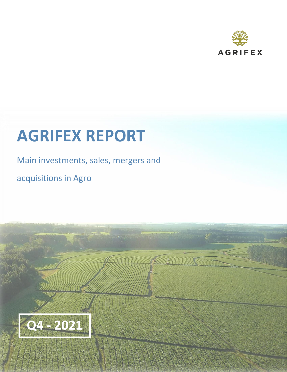

# **AGRIFEX REPORT**

# Main investments, sales, mergers and

The Company of the Company of the Company of the Company of the Company of The Company of

acquisitions in Agro

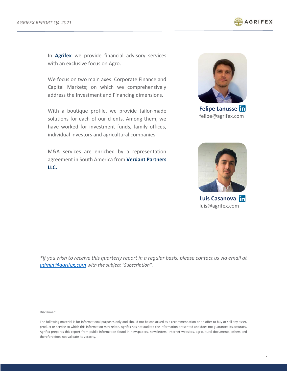

In **Agrifex** we provide financial advisory services with an exclusive focus on Agro.

We focus on two main axes: Corporate Finance and Capital Markets; on which we comprehensively address the Investment and Financing dimensions.

With a boutique profile, we provide tailor-made solutions for each of our clients. Among them, we have worked for investment funds, family offices, individual investors and agricultural companies.

M&A services are enriched by a representation agreement in South America from **Verdant Partners LLC.**



**Felipe Lanusse** felipe@agrifex.com



**Luis Casanova** luis@agrifex.com

*\*If you wish to receive this quarterly report in a regular basis, please contact us via email at [admin@agrifex.com](mailto:admin@agrifex.com) with the subject "Subscription".*

Disclaimer:

The following material is for informational purposes only and should not be construed as a recommendation or an offer to buy or sell any asset, product or service to which this information may relate. Agrifex has not audited the information presented and does not guarantee its accuracy. Agrifex prepares this report from public information found in newspapers, newsletters, Internet websites, agricultural documents, others and therefore does not validate its veracity.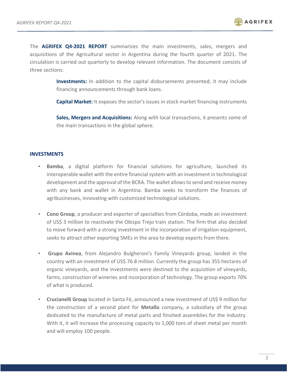

The **AGRIFEX Q4-2021 REPORT** summarizes the main investments, sales, mergers and acquisitions of the Agricultural sector in Argentina during the fourth quarter of 2021. The circulation is carried out quarterly to develop relevant information. The document consists of three sections:

> **Investments:** In addition to the capital disbursements presented, it may include financing announcements through bank loans.

> **Capital Market:** It exposes the sector's issues in stock market financing instruments

**Sales, Mergers and Acquisitions:** Along with local transactions, it presents some of the main transactions in the global sphere.

#### **INVESTMENTS**

- **Bamba**, a digital platform for financial solutions for agriculture, launched its interoperable wallet with the entire financial system with an investment in technological development and the approval of the BCRA. The wallet allows to send and receive money with any bank and wallet in Argentina. Bamba seeks to transform the finances of agribusinesses, innovating with customized technological solutions.
- **Cono Group**, a producer and exporter of specialties from Córdoba, made an investment of US\$ 3 million to reactivate the Obispo Trejo train station. The firm that also decided to move forward with a strong investment in the incorporation of irrigation equipment, seeks to attract other exporting SMEs in the area to develop exports from there.
- **Grupo Avinea**, from Alejandro Bulgheroni's Family Vineyards group, landed in the country with an investment of US\$ 76.8 million. Currently the group has 355 hectares of organic vineyards, and the investments were destined to the acquisition of vineyards, farms, construction of wineries and incorporation of technology. The group exports 70% of what is produced.
- **Crucianelli Group** located in Santa Fé, announced a new investment of US\$ 9 million for the construction of a second plant for **Metallo** company, a subsidiary of the group dedicated to the manufacture of metal parts and finished assemblies for the industry. With it, it will increase the processing capacity to 1,000 tons of sheet metal per month and will employ 100 people.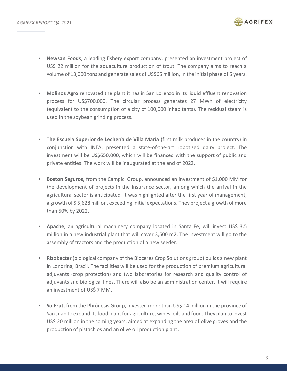

- **Newsan Foods**, a leading fishery export company, presented an investment project of US\$ 22 million for the aquaculture production of trout. The company aims to reach a volume of 13,000 tons and generate sales of US\$65 million, in the initial phase of 5 years.
- **Molinos Agro** renovated the plant it has in San Lorenzo in its liquid effluent renovation process for US\$700,000. The circular process generates 27 MWh of electricity (equivalent to the consumption of a city of 100,000 inhabitants). The residual steam is used in the soybean grinding process.
- **The Escuela Superior de Lechería de Villa María** (first milk producer in the country) in conjunction with INTA, presented a state-of-the-art robotized dairy project. The investment will be US\$650,000, which will be financed with the support of public and private entities. The work will be inaugurated at the end of 2022.
- **Boston Seguros,** from the Campici Group, announced an investment of \$1,000 MM for the development of projects in the insurance sector, among which the arrival in the agricultural sector is anticipated. It was highlighted after the first year of management, a growth of \$5,628 million, exceeding initial expectations. They project a growth of more than 50% by 2022.
- **Apache,** an agricultural machinery company located in Santa Fe, will invest US\$ 3.5 million in a new industrial plant that will cover 3,500 m2. The investment will go to the assembly of tractors and the production of a new seeder.
- **Rizobacter** (biological company of the Bioceres Crop Solutions group) builds a new plant in Londrina, Brazil. The facilities will be used for the production of premium agricultural adjuvants (crop protection) and two laboratories for research and quality control of adjuvants and biological lines. There will also be an administration center. It will require an investment of US\$ 7 MM.
- **SolFrut,** from the Phrónesis Group, invested more than US\$ 14 million in the province of San Juan to expand its food plant for agriculture, wines, oils and food. They plan to invest US\$ 20 million in the coming years, aimed at expanding the area of olive groves and the production of pistachios and an olive oil production plant**.**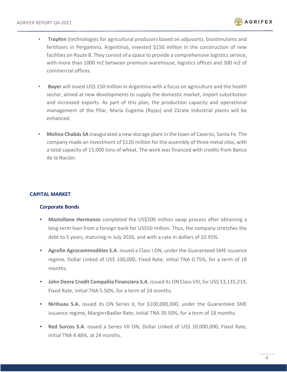

- **Tropfen** (technologies for agricultural producers based on adjuvants, biostimulants and fertilizers in Pergamino, Argentina), invested \$150 million in the construction of new facilities on Route 8. They consist of a space to provide a comprehensive logistics service, with more than 1000 m2 between premium warehouse, logistics offices and 300 m2 of commercial offices.
- **Bayer** will invest US\$ 150 million in Argentina with a focus on agriculture and the health sector, aimed at new developments to supply the domestic market, import substitution and increased exports. As part of this plan, the production capacity and operational management of the Pilar, María Eugenia (Rojas) and Zárate industrial plants will be enhanced.
- **Molino Chabás SA** inaugurated a new storage plant in the town of Caseros, Santa Fe. The company made an investment of \$120 million for the assembly of three metal silos, with a total capacity of 15,000 tons of wheat. The work was financed with credits from Banco de la Nación.

# **CAPITAL MARKET**

#### **Corporate Bonds**

- **Mastellone Hermanos** completed the US\$200 million swap process after obtaining a long-term loan from a foreign bank for US\$50 million. Thus, the company stretches the debt to 5 years, maturing in July 2026, and with a rate in dollars of 10.95%.
- **Agrofin Agrocommodities S.A.** issued a Class I ON, under the Guaranteed SME issuance regime, Dollar Linked of US\$ 100,000, Fixed Rate, initial TNA 0.75%, for a term of 18 months.
- **John Deere Credit Compañía Financiera S.A.** issued its ON Class VIII, for US\$ 13,135,219, Fixed Rate, initial TNA 5.50%, for a term of 24 months.
- **Nirihuau S.A.** issued its ON Series II, for \$100,000,000, under the Guaranteed SME issuance regime, Margin+Badlar Rate, initial TNA 39.50%, for a term of 18 months.
- **Red Surcos S.A.** issued a Series VII ON, Dollar Linked of US\$ 10,000,000, Fixed Rate, initial TNA 4.48%, at 24 months.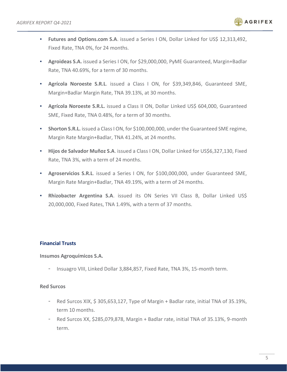

- **Futures and Options.com S.A.** issued a Series I ON, Dollar Linked for US\$ 12,313,492, Fixed Rate, TNA 0%, for 24 months.
- **Agroideas S.A.** issued a Series I ON, for \$29,000,000, PyME Guaranteed, Margin+Badlar Rate, TNA 40.69%, for a term of 30 months.
- **Agrícola Noroeste S.R.L**. issued a Class I ON, for \$39,349,846, Guaranteed SME, Margin+Badlar Margin Rate, TNA 39.13%, at 30 months.
- **EXECTE Agrícola Noroeste S.R.L.** issued a Class II ON, Dollar Linked US\$ 604,000, Guaranteed SME, Fixed Rate, TNA 0.48%, for a term of 30 months.
- **EXECT:** Shorton S.R.L. issued a Class I ON, for \$100,000,000, under the Guaranteed SME regime, Margin Rate Margin+Badlar, TNA 41.24%, at 24 months.
- **Hijos de Salvador Muñoz S.A**. issued a Class I ON, Dollar Linked for US\$6,327,130, Fixed Rate, TNA 3%, with a term of 24 months.
- **Agroservicios S.R.L**. issued a Series I ON, for \$100,000,000, under Guaranteed SME, Margin Rate Margin+Badlar, TNA 49.19%, with a term of 24 months.
- **Rhizobacter Argentina S.A**. issued its ON Series VII Class B, Dollar Linked US\$ 20,000,000, Fixed Rates, TNA 1.49%, with a term of 37 months.

# **Financial Trusts**

**Insumos Agroquímicos S.A.**

- Insuagro VIII, Linked Dollar 3,884,857, Fixed Rate, TNA 3%, 15-month term.

#### **Red Surcos**

- Red Surcos XIX, \$ 305,653,127, Type of Margin + Badlar rate, initial TNA of 35.19%, term 10 months.
- Red Surcos XX, \$285,079,878, Margin + Badlar rate, initial TNA of 35.13%, 9-month term.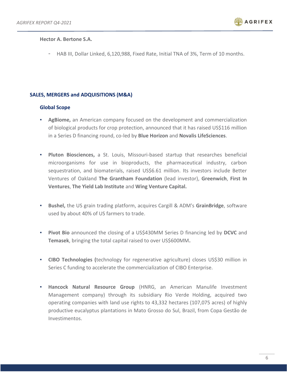

#### **Hector A. Bertone S.A.**

- HAB III, Dollar Linked, 6,120,988, Fixed Rate, Initial TNA of 3%, Term of 10 months.

# **SALES, MERGERS and ADQUISITIONS (M&A)**

#### **Global Scope**

- **AgBiome,** an American company focused on the development and commercialization of biological products for crop protection, announced that it has raised US\$116 million in a Series D financing round, co-led by **Blue Horizon** and **Novalis LifeSciences**.
- **Pluton Biosciences,** a St. Louis, Missouri-based startup that researches beneficial microorganisms for use in bioproducts, the pharmaceutical industry, carbon sequestration, and biomaterials, raised US\$6.61 million. Its investors include Better Ventures of Oakland **The Grantham Foundation** (lead investor), **Greenwich**, **First In Ventures**, **The Yield Lab Institute** and **Wing Venture Capital.**
- **Bushel,** the US grain trading platform, acquires Cargill & ADM's **GrainBridge**, software used by about 40% of US farmers to trade.
- **Pivot Bio** announced the closing of a US\$430MM Series D financing led by **DCVC** and **Temasek**, bringing the total capital raised to over US\$600MM**.**
- **CIBO Technologies (**technology for regenerative agriculture) closes US\$30 million in Series C funding to accelerate the commercialization of CIBO Enterprise.
- **Hancock Natural Resource Group** (HNRG, an American Manulife Investment Management company) through its subsidiary Rio Verde Holding, acquired two operating companies with land use rights to 43,332 hectares (107,075 acres) of highly productive eucalyptus plantations in Mato Grosso do Sul, Brazil, from Copa Gestão de Investimentos.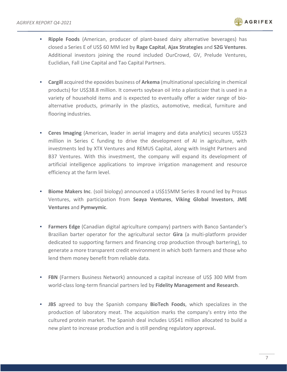

- **Ripple Foods** (American, producer of plant-based dairy alternative beverages) has closed a Series E of US\$ 60 MM led by **Rage Capital**, **Ajax Strategies** and **S2G Ventures**. Additional investors joining the round included OurCrowd, GV, Prelude Ventures, Euclidian, Fall Line Capital and Tao Capital Partners.
- **Cargill** acquired the epoxides business of **Arkema** (multinational specializing in chemical products) for US\$38.8 million. It converts soybean oil into a plasticizer that is used in a variety of household items and is expected to eventually offer a wider range of bioalternative products, primarily in the plastics, automotive, medical, furniture and flooring industries.
- **Ceres Imaging** (American, leader in aerial imagery and data analytics) secures US\$23 million in Series C funding to drive the development of AI in agriculture, with investments led by XTX Ventures and REMUS Capital, along with Insight Partners and B37 Ventures. With this investment, the company will expand its development of artificial intelligence applications to improve irrigation management and resource efficiency at the farm level.
- **E** Biome Makers Inc. (soil biology) announced a US\$15MM Series B round led by Prosus Ventures, with participation from **Seaya Ventures**, **Viking Global Investors**, **JME Ventures** and **Pymwymic**.
- **Farmers Edge** (Canadian digital agriculture company) partners with Banco Santander's Brazilian barter operator for the agricultural sector **Gira** (a multi-platform provider dedicated to supporting farmers and financing crop production through bartering), to generate a more transparent credit environment in which both farmers and those who lend them money benefit from reliable data.
- **FBN** (Farmers Business Network) announced a capital increase of US\$ 300 MM from world-class long-term financial partners led by **Fidelity Management and Research**.
- **JBS** agreed to buy the Spanish company **BioTech Foods**, which specializes in the production of laboratory meat. The acquisition marks the company's entry into the cultured protein market. The Spanish deal includes US\$41 million allocated to build a new plant to increase production and is still pending regulatory approval**.**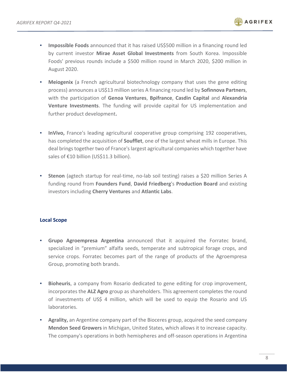

- **Impossible Foods** announced that it has raised US\$500 million in a financing round led by current investor **Mirae Asset Global Investments** from South Korea. Impossible Foods' previous rounds include a \$500 million round in March 2020, \$200 million in August 2020.
- **Meiogenix** (a French agricultural biotechnology company that uses the gene editing process) announces a US\$13 million series A financing round led by **Sofinnova Partners**, with the participation of **Genoa Ventures**, **Bpifrance**, **Casdin Capital** and **Alexandria Venture Investments**. The funding will provide capital for US implementation and further product development**.**
- **.** InVivo, France's leading agricultural cooperative group comprising 192 cooperatives, has completed the acquisition of **Soufflet**, one of the largest wheat mills in Europe. This deal brings together two of France's largest agricultural companies which together have sales of €10 billion (US\$11.3 billion).
- **Extenon** (agtech startup for real-time, no-lab soil testing) raises a \$20 million Series A funding round from **Founders Fund**, **David Friedberg**'s **Production Board** and existing investors including **Cherry Ventures** and **Atlantic Labs**.

#### **Local Scope**

- **Grupo Agroempresa Argentina** announced that it acquired the Forratec brand, specialized in "premium" alfalfa seeds, temperate and subtropical forage crops, and service crops. Forratec becomes part of the range of products of the Agroempresa Group, promoting both brands.
- **EXIMENT III Allergerian Bioheuris**, a company from Rosario dedicated to generaliting for crop improvement, incorporates the **ALZ Agro** group as shareholders. This agreement completes the round of investments of US\$ 4 million, which will be used to equip the Rosario and US laboratories.
- **EXTED Agrality, an Argentine company part of the Bioceres group, acquired the seed company Mendon Seed Growers** in Michigan, United States, which allows it to increase capacity. The company's operations in both hemispheres and off-season operations in Argentina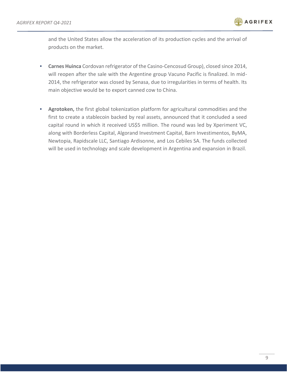

and the United States allow the acceleration of its production cycles and the arrival of products on the market.

- **Carnes Huinca** Cordovan refrigerator of the Casino-Cencosud Group), closed since 2014, will reopen after the sale with the Argentine group Vacuno Pacific is finalized. In mid-2014, the refrigerator was closed by Senasa, due to irregularities in terms of health. Its main objective would be to export canned cow to China.
- Agrotoken, the first global tokenization platform for agricultural commodities and the first to create a stablecoin backed by real assets, announced that it concluded a seed capital round in which it received US\$5 million. The round was led by Xperiment VC, along with Borderless Capital, Algorand Investment Capital, Barn Investimentos, ByMA, Newtopia, Rapidscale LLC, Santiago Ardisonne, and Los Cebiles SA. The funds collected will be used in technology and scale development in Argentina and expansion in Brazil.